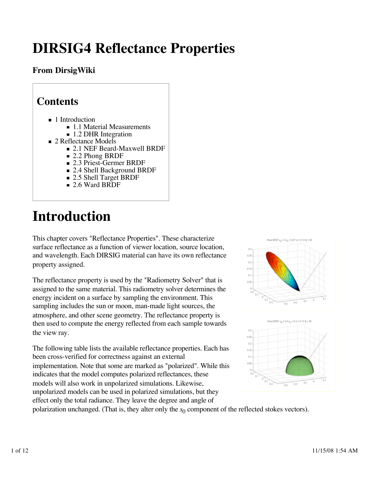# **DIRSIG4 Reflectance Properties**

### **From DirsigWiki**

| <b>Contents</b>                           |
|-------------------------------------------|
| $\blacksquare$ 1 Introduction             |
| ■ 1.1 Material Measurements               |
| ■ 1.2 DHR Integration                     |
| ■ 2 Reflectance Models                    |
| $\blacksquare$ 2.1 NEF Beard-Maxwell BRDF |
| $\blacksquare$ 2.2 Phong BRDF             |
| ■ 2.3 Priest-Germer BRDF                  |
| ■ 2.4 Shell Background BRDF               |
| 2.5 Shell Target BRDF                     |
| ■ 2.6 Ward BRDF                           |

# **Introduction**

This chapter covers "Reflectance Properties". These characterize surface reflectance as a function of viewer location, source location, and wavelength. Each DIRSIG material can have its own reflectance property assigned.

The reflectance property is used by the "Radiometry Solver" that is assigned to the same material. This radiometry solver determines the energy incident on a surface by sampling the environment. This sampling includes the sun or moon, man-made light sources, the atmosphere, and other scene geometry. The reflectance property is then used to compute the energy reflected from each sample towards the view ray.

The following table lists the available reflectance properties. Each has been cross-verified for correctness against an external implementation. Note that some are marked as "polarized". While this indicates that the model computes polarized reflectances, these models will also work in unpolarized simulations. Likewise, unpolarized models can be used in polarized simulations, but they effect only the total radiance. They leave the degree and angle of





polarization unchanged. (That is, they alter only the  $s_0$  component of the reflected stokes vectors).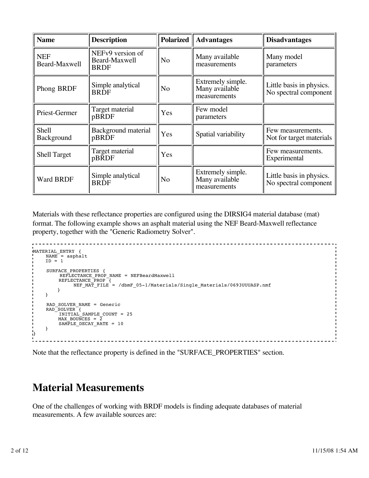| <b>Name</b>                 | <b>Description</b>                               | <b>Polarized</b> | <b>Advantages</b>                                   | <b>Disadvantages</b>                              |
|-----------------------------|--------------------------------------------------|------------------|-----------------------------------------------------|---------------------------------------------------|
| <b>NEF</b><br>Beard-Maxwell | NEFv9 version of<br>Beard-Maxwell<br><b>BRDF</b> | N <sub>o</sub>   | Many available<br>measurements                      | Many model<br>parameters                          |
| Phong BRDF                  | Simple analytical<br><b>BRDF</b>                 | No               | Extremely simple.<br>Many available<br>measurements | Little basis in physics.<br>No spectral component |
| Priest-Germer               | Target material<br>pBRDF                         | Yes              | Few model<br>parameters                             |                                                   |
| Shell<br>Background         | Background material<br>pBRDF                     | Yes              | Spatial variability                                 | Few measurements.<br>Not for target materials     |
| <b>Shell Target</b>         | Target material<br>pBRDF                         | Yes              |                                                     | Few measurements.<br>Experimental                 |
| <b>Ward BRDF</b>            | Simple analytical<br><b>BRDF</b>                 | No               | Extremely simple.<br>Many available<br>measurements | Little basis in physics.<br>No spectral component |

Materials with these reflectance properties are configured using the DIRSIG4 material database (mat) format. The following example shows an asphalt material using the NEF Beard-Maxwell reflectance property, together with the "Generic Radiometry Solver".

```
\frac{1}{2}MATERIAL_ENTRY {
    NAME = asphaltID = 1SURFACE PROPERTIES {
         REFLECTANCE_PROP_NAME = NEFBeardMaxwell
 REFLECTANCE_PROP {
 NEF_MAT_FILE = /dbmF_05-1/Materials/Single_Materials/0693UUUASP.nmf
        }
    }
    RAD_SOLVER_NAME = Generic
 RAD_SOLVER {
 INITIAL_SAMPLE_COUNT = 25
        MAX_BOUNCES = 2 SAMPLE_DECAY_RATE = 10
     }
: ا
```
Note that the reflectance property is defined in the "SURFACE\_PROPERTIES" section.

### **Material Measurements**

One of the challenges of working with BRDF models is finding adequate databases of material measurements. A few available sources are: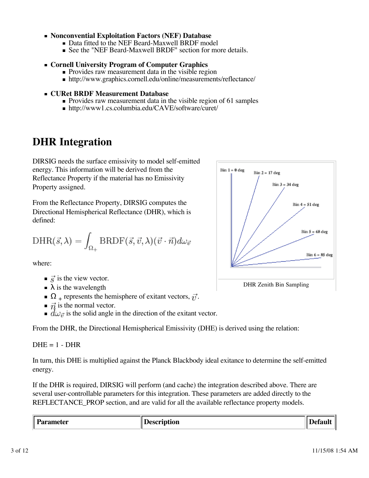#### **Nonconvential Exploitation Factors (NEF) Database**

- Data fitted to the NEF Beard-Maxwell BRDF model
- See the "NEF Beard-Maxwell BRDF" section for more details.

#### **Cornell University Program of Computer Graphics**

- **Provides raw measurement data in the visible region**
- http://www.graphics.cornell.edu/online/measurements/reflectance/

#### **CURet BRDF Measurement Database**

- **Provides raw measurement data in the visible region of 61 samples**
- http://www1.cs.columbia.edu/CAVE/software/curet/

## **DHR Integration**

DIRSIG needs the surface emissivity to model self-emitted energy. This information will be derived from the Reflectance Property if the material has no Emissivity Property assigned.

From the Reflectance Property, DIRSIG computes the Directional Hemispherical Reflectance (DHR), which is defined:

$$
\mathrm{DHR}(\vec{s},\lambda) = \int_{\Omega_+} \mathrm{BRDF}(\vec{s},\vec{v},\lambda) (\vec{v}\cdot\vec{n}) d\omega_{\vec{v}}
$$

where:

- $\vec{s}$  is the view vector.
- $\blacktriangleright$   $\lambda$  is the wavelength
- $\Omega_{\perp}$  represents the hemisphere of exitant vectors,  $\vec{r}$ .
- $\vec{n}$  is the normal vector.
- $\overrightarrow{d\omega_{\vec{n}}}$  is the solid angle in the direction of the exitant vector.

From the DHR, the Directional Hemispherical Emissivity (DHE) is derived using the relation:

 $DHE = 1 - DHR$ 

In turn, this DHE is multiplied against the Planck Blackbody ideal exitance to determine the self-emitted energy.

If the DHR is required, DIRSIG will perform (and cache) the integration described above. There are several user-controllable parameters for this integration. These parameters are added directly to the REFLECTANCE\_PROP section, and are valid for all the available reflectance property models.

**Parameter Description Default**

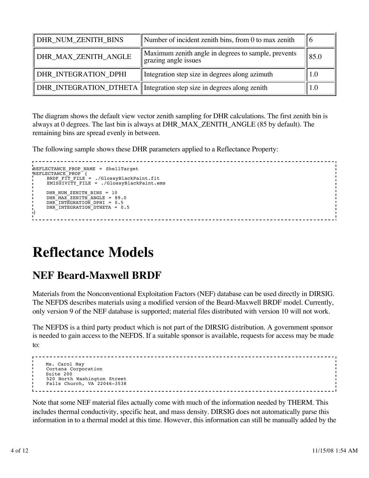| DHR_NUM_ZENITH_BINS  | Number of incident zenith bins, from 0 to max zenith                        | ΙO   |
|----------------------|-----------------------------------------------------------------------------|------|
| DHR_MAX_ZENITH_ANGLE | Maximum zenith angle in degrees to sample, prevents<br>grazing angle issues | 85.0 |
| DHR_INTEGRATION_DPHI | Integration step size in degrees along azimuth                              | 1.0  |
|                      | DHR_INTEGRATION_DTHETA   Integration step size in degrees along zenith      | 1.0  |

The diagram shows the default view vector zenith sampling for DHR calculations. The first zenith bin is always at 0 degrees. The last bin is always at DHR\_MAX\_ZENITH\_ANGLE (85 by default). The remaining bins are spread evenly in between.

The following sample shows these DHR parameters applied to a Reflectance Property:

```
REFLECTANCE_PROP_NAME = ShellTarget
REFLECTANCE_PROP {
 BRDF_FIT_FILE = ./GlossyBlackPaint.fit
      EMISSIVITY_FILE = ./GlossyBlackPaint.ems
     DHR_NUM_ZENITH_BINS = 10
     DHRMAXZENITHANGLE = 89.0
     DHR<sup>-</sup>INTEGRATION DPHI = 0.5
     DHR<sup>INTEGRATION DTHETA = 0.5</sup>
}
```
## **Reflectance Models**

## **NEF Beard-Maxwell BRDF**

Materials from the Nonconventional Exploitation Factors (NEF) database can be used directly in DIRSIG. The NEFDS describes materials using a modified version of the Beard-Maxwell BRDF model. Currently, only version 9 of the NEF database is supported; material files distributed with version 10 will not work.

The NEFDS is a third party product which is not part of the DIRSIG distribution. A government sponsor is needed to gain access to the NEFDS. If a suitable sponsor is available, requests for access may be made to:

```
 Ms. Carol May
 Cortana Corporation
 Suite 200
 520 North Washington Street
 Falls Church, VA 22046-3538
```
Note that some NEF material files actually come with much of the information needed by THERM. This includes thermal conductivity, specific heat, and mass density. DIRSIG does not automatically parse this information in to a thermal model at this time. However, this information can still be manually added by the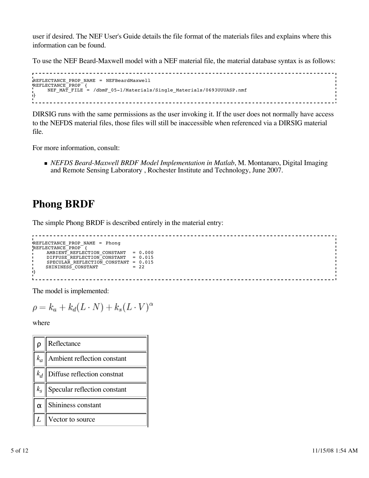user if desired. The NEF User's Guide details the file format of the materials files and explains where this information can be found.

To use the NEF Beard-Maxwell model with a NEF material file, the material database syntax is as follows:

```
REFLECTANCE_PROP_NAME = NEFBeardMaxwell
REFLECTANCE_PROP {
   NEF_MAT_FILE = /dbmF_05-1/Materials/Single_Materials/0693UUUASP.nmf
}
```
DIRSIG runs with the same permissions as the user invoking it. If the user does not normally have access to the NEFDS material files, those files will still be inaccessible when referenced via a DIRSIG material file.

For more information, consult:

*NEFDS Beard-Maxwell BRDF Model Implementation in Matlab*, M. Montanaro, Digital Imaging and Remote Sensing Laboratory , Rochester Institute and Technology, June 2007.

### **Phong BRDF**

The simple Phong BRDF is described entirely in the material entry:

```
REFLECTANCE_PROP_NAME = Phong
REFLECTANCE_PROP {
 AMBIENT_REFLECTION_CONSTANT = 0.000
 DIFFUSE_REFLECTION_CONSTANT = 0.015
 SPECULAR_REFLECTION_CONSTANT = 0.015
SHININESS_CONSTANT = 22
}
```
The model is implemented:

$$
\rho = k_a + k_d(L \cdot N) + k_s(L \cdot V)^{\alpha}
$$

where

| lρ                 | Reflectance                                    |
|--------------------|------------------------------------------------|
|                    | $k_a$ Ambient reflection constant              |
|                    | $\ k_d\ $ Diffuse reflection constnat          |
|                    | $\vert k_s \vert$ Specular reflection constant |
| $\mid \alpha \mid$ | Shininess constant                             |
| L                  | Vector to source                               |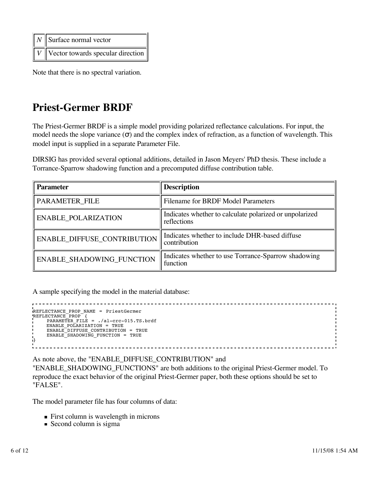| $\ N\ $ Surface normal vector                 |
|-----------------------------------------------|
| $\boxed{V}$ Vector towards specular direction |

Note that there is no spectral variation.

## **Priest-Germer BRDF**

The Priest-Germer BRDF is a simple model providing polarized reflectance calculations. For input, the model needs the slope variance  $(\sigma)$  and the complex index of refraction, as a function of wavelength. This model input is supplied in a separate Parameter File.

DIRSIG has provided several optional additions, detailed in Jason Meyers' PhD thesis. These include a Torrance-Sparrow shadowing function and a precomputed diffuse contribution table.

| <b>Parameter</b>                 | <b>Description</b>                                                     |
|----------------------------------|------------------------------------------------------------------------|
| PARAMETER_FILE                   | Filename for BRDF Model Parameters                                     |
| <b>ENABLE POLARIZATION</b>       | Indicates whether to calculate polarized or unpolarized<br>reflections |
| ENABLE_DIFFUSE_CONTRIBUTION      | Indicates whether to include DHR-based diffuse<br>contribution         |
| <b>ENABLE SHADOWING FUNCTION</b> | Indicates whether to use Torrance-Sparrow shadowing<br>function        |

A sample specifying the model in the material database:

```
REFLECTANCE_PROP_NAME = PriestGermer
REFLECTANCE_PROP {
 PARAMETER_FILE = ./al-crc-015.TS.brdf
 ENABLE_POLARIZATION = TRUE
 ENABLE_DIFFUSE_CONTRIBUTION = TRUE
    ENABLE_SHADOWING_FUNCTION = TRUE
}
```
As note above, the "ENABLE\_DIFFUSE\_CONTRIBUTION" and

"ENABLE\_SHADOWING\_FUNCTIONS" are both additions to the original Priest-Germer model. To reproduce the exact behavior of the original Priest-Germer paper, both these options should be set to "FALSE".

The model parameter file has four columns of data:

- First column is wavelength in microns
- $\blacksquare$  Second column is sigma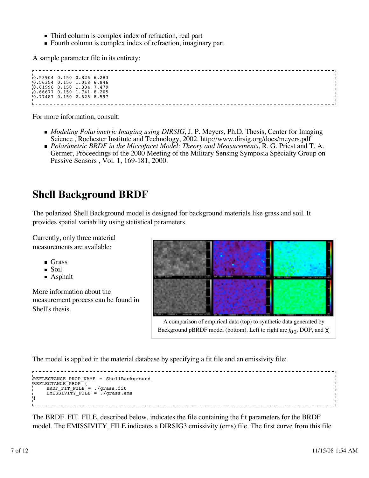- Third column is complex index of refraction, real part
- Fourth column is complex index of refraction, imaginary part

A sample parameter file in its entirety:

| 0.53904 0.150 0.826 6.283   |  |  |  |  |  |  |
|-----------------------------|--|--|--|--|--|--|
| $0.56354$ 0.150 1.018 6.846 |  |  |  |  |  |  |
| 0.61990 0.150 1.304 7.479   |  |  |  |  |  |  |
| 0.66677 0.150 1.741 8.205   |  |  |  |  |  |  |
| $0.77487$ 0.150 2.625 8.597 |  |  |  |  |  |  |
|                             |  |  |  |  |  |  |
|                             |  |  |  |  |  |  |

For more information, consult:

- *Modeling Polarimetric Imaging using DIRSIG*, J. P. Meyers, Ph.D. Thesis, Center for Imaging Science , Rochester Institute and Technology, 2002. http://www.dirsig.org/docs/meyers.pdf
- *Polarimetric BRDF in the Microfacet Model: Theory and Measurements*, R. G. Priest and T. A. Germer, Proceedings of the 2000 Meeting of the Military Sensing Symposia Specialty Group on Passive Sensors , Vol. 1, 169-181, 2000.

## **Shell Background BRDF**

The polarized Shell Background model is designed for background materials like grass and soil. It provides spatial variability using statistical parameters.

Currently, only three material measurements are available:

- Grass
- Soil
- **Asphalt**

More information about the measurement process can be found in Shell's thesis.



A comparison of empirical data (top) to synthetic data generated by Background pBRDF model (bottom). Left to right are *f*<sub>00</sub>, DOP, and **χ** 

The model is applied in the material database by specifying a fit file and an emissivity file:

```
. . . . . . . . . . . . . . . . .
REFLECTANCE_PROP_NAME = ShellBackground
REFLECTANCE_PROP {
 BRDF_FIT_FILE = ./grass.fit
      EMISSIVITY_FILE = ./grass.ems
}
```
The BRDF\_FIT\_FILE, described below, indicates the file containing the fit parameters for the BRDF model. The EMISSIVITY\_FILE indicates a DIRSIG3 emissivity (ems) file. The first curve from this file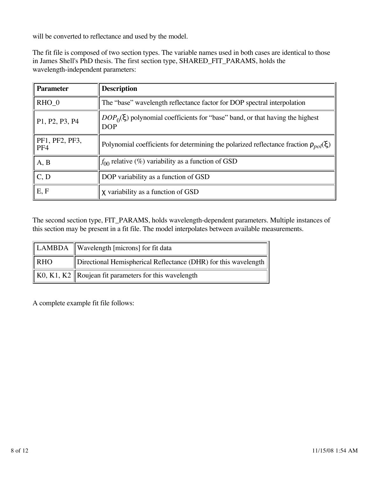will be converted to reflectance and used by the model.

The fit file is composed of two section types. The variable names used in both cases are identical to those in James Shell's PhD thesis. The first section type, SHARED\_FIT\_PARAMS, holds the wavelength-independent parameters:

| <b>Parameter</b>             | <b>Description</b>                                                                             |
|------------------------------|------------------------------------------------------------------------------------------------|
| $RHO_0$                      | The "base" wavelength reflectance factor for DOP spectral interpolation                        |
| P1, P2, P3, P4               | $DOP_0(\xi)$ polynomial coefficients for "base" band, or that having the highest<br><b>DOP</b> |
| PF1, PF2, PF3,<br>PF4        | Polynomial coefficients for determining the polarized reflectance fraction $\rho_{pol}(\xi)$   |
| A, B                         | $f_{00}$ relative (%) variability as a function of GSD                                         |
| $\overline{C}, \overline{D}$ | DOP variability as a function of GSD                                                           |
| E, F                         | X variability as a function of GSD                                                             |

The second section type, FIT\_PARAMS, holds wavelength-dependent parameters. Multiple instances of this section may be present in a fit file. The model interpolates between available measurements.

|                 | LAMBDA   Wavelength [microns] for fit data                                    |
|-----------------|-------------------------------------------------------------------------------|
| $\parallel$ RHO | Directional Hemispherical Reflectance (DHR) for this wavelength               |
|                 | $\parallel$ K0, K1, K2 $\parallel$ Roujean fit parameters for this wavelength |

A complete example fit file follows: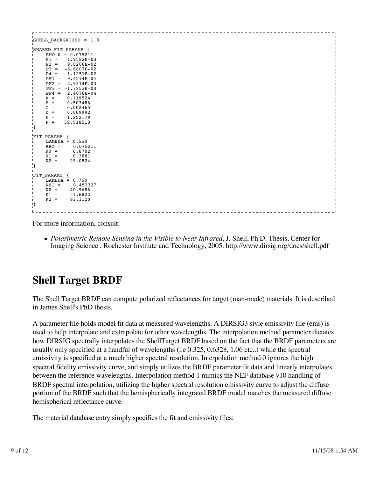| SHELL BACKGROUND = 1.0                                                    |  |
|---------------------------------------------------------------------------|--|
| $\blacksquare$                                                            |  |
| SHARED_FIT_PARAMS {                                                       |  |
| $RHO$ 0 = 0.075211<br>$\blacksquare$                                      |  |
| $\blacksquare$<br>$P1 = 1.9582E - 03$                                     |  |
| $\blacksquare$<br>$P2 =$<br>9.8206E-02                                    |  |
| $\blacksquare$<br>$P3 =$<br>$-6.6807E-02$<br>$\blacksquare$               |  |
| $\blacksquare$<br>$P4 =$<br>1.1251E-02                                    |  |
| $\blacksquare$<br>$PF1 =$<br>9.4574E-04<br>$\blacksquare$                 |  |
| $PF2 = 2.9314E-03$<br>$\blacksquare$                                      |  |
| $\blacksquare$<br>$PF3 = -1.7853E-03$                                     |  |
| $\blacksquare$<br>$PF4 = 2.4078E - 04$<br>$\blacksquare$                  |  |
| $A =$<br>0.119524<br>$\blacksquare$                                       |  |
| $\mathbf{r}$<br>$B =$<br>0.503486                                         |  |
| <b>I</b><br>$C =$<br>0.002465<br>$\mathbf{I}$                             |  |
| $D =$<br>0.009992<br>$\blacksquare$                                       |  |
| $\blacksquare$<br>$E =$<br>1,252179<br>$\blacksquare$                     |  |
| $F =$<br>59.918513<br>$\blacksquare$                                      |  |
| -1}                                                                       |  |
| $\mathbf{I}$                                                              |  |
| FIT_PARAMS {                                                              |  |
| $LAMBDA = 0.550$<br>$\mathbf{I}$                                          |  |
| $RHO =$<br>0.075211<br><b>I</b><br>$\blacksquare$                         |  |
| $KO =$<br>6.8702<br>$\blacksquare$                                        |  |
| $K1 =$<br>0.3881<br>$\blacksquare$<br>$\blacksquare$<br>$K2 =$<br>29.0824 |  |
| $\mathbf{b}$                                                              |  |
|                                                                           |  |
| $\blacksquare$<br>FIT PARAMS {                                            |  |
| $\blacksquare$<br>$LAMBDA = 0.750$                                        |  |
| $\blacksquare$<br>0.453327<br>$RHO =$<br>$\blacksquare$                   |  |
| $KO =$<br>$\mathbf{I}$<br>40.9686                                         |  |
| <b>I</b><br>$K1 =$<br>$-1.6822$                                           |  |
| $\blacksquare$<br>$K2 =$<br>93.1120<br>$\blacksquare$                     |  |
| $\mathbf{P}$                                                              |  |
|                                                                           |  |
|                                                                           |  |

For more information, consult:

*Polarimetric Remote Sensing in the Visible to Near Infrared*, J. Shell, Ph.D. Thesis, Center for Imaging Science , Rochester Institute and Technology, 2005. http://www.dirsig.org/docs/shell.pdf

## **Shell Target BRDF**

The Shell Target BRDF can compute polarized reflectances for target (man-made) materials. It is described in James Shell's PhD thesis.

A parameter file holds model fit data at measured wavelengths. A DIRSIG3 style emissivity file (ems) is used to help interpolate and extrapolate for other wavelengths. The interpolation method parameter dictates how DIRSIG spectrally interpolates the ShellTarget BRDF based on the fact that the BRDF parameters are usually only specified at a handful of wavelengths (i.e 0.325, 0.6328, 1.06 etc..) while the spectral emissivity is specified at a much higher spectral resolution. Interpolation method 0 ignores the high spectral fidelity emissivity curve, and simply utilizes the BRDF parameter fit data and linearly interpolates between the reference wavelengths. Interpolation method 1 mimics the NEF database v10 handling of BRDF spectral interpolation, utilizing the higher spectral resolution emissivity curve to adjust the diffuse portion of the BRDF such that the hemispherically integrated BRDF model matches the measured diffuse hemispherical reflectance curve.

The material database entry simply specifies the fit and emissivity files: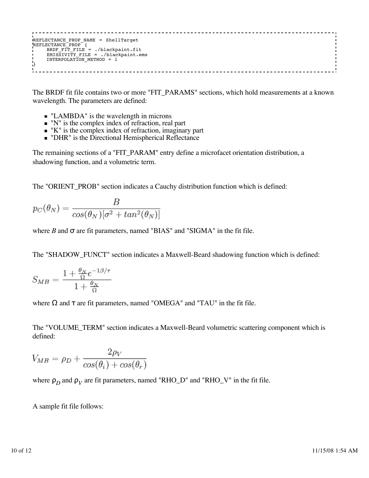REFLECTANCE\_PROP\_NAME = ShellTarget REFLECTANCE\_PROP { BRDF\_FIT\_FILE = ./blackpaint.fit EMISSIVITY\_FILE = ./blackpaint.ems INTERPOLATION\_METHOD = 1 }

The BRDF fit file contains two or more "FIT\_PARAMS" sections, which hold measurements at a known wavelength. The parameters are defined:

- **I.** "LAMBDA" is the wavelength in microns
- $\blacksquare$  "N" is the complex index of refraction, real part
- $\blacksquare$  "K" is the complex index of refraction, imaginary part
- "DHR" is the Directional Hemispherical Reflectance

The remaining sections of a "FIT\_PARAM" entry define a microfacet orientation distribution, a shadowing function, and a volumetric term.

The "ORIENT\_PROB" section indicates a Cauchy distribution function which is defined:

$$
p_C(\theta_N) = \frac{B}{\cos(\theta_N)[\sigma^2 + \tan^2(\theta_N)]}
$$

where  $B$  and  $\sigma$  are fit parameters, named "BIAS" and "SIGMA" in the fit file.

The "SHADOW\_FUNCT" section indicates a Maxwell-Beard shadowing function which is defined:

$$
S_{MB} = \frac{1 + \frac{\theta_N}{\Omega} e^{-1\beta/\tau}}{1 + \frac{\theta_N}{\Omega}}
$$

where  $\Omega$  and  $\tau$  are fit parameters, named "OMEGA" and "TAU" in the fit file.

The "VOLUME\_TERM" section indicates a Maxwell-Beard volumetric scattering component which is defined:

$$
V_{MB} = \rho_D + \frac{2\rho_V}{\cos(\theta_i) + \cos(\theta_r)}
$$

where  $\rho_D$  and  $\rho_V$  are fit parameters, named "RHO\_D" and "RHO\_V" in the fit file.

A sample fit file follows: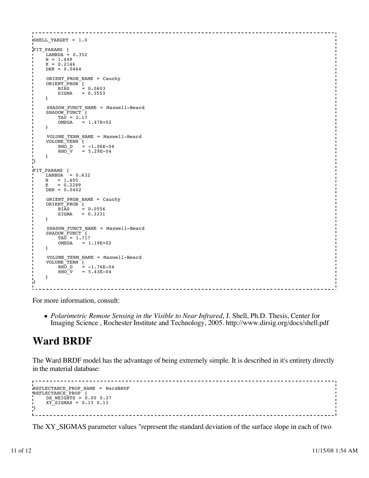```
SHELL_TARGET = 1.0
I<br>I
FIT_PARAMS {
LAMBDA = 0.352N = 1.449K = 0.2146DHR = 0.0464I<br>I
    ORIENT PROB NAME = Cauchy
 ORIENT_PROB {
 BIAS = 0.0603
SIGMA = 0.3553 }
I<br>I
    SHADOW FUNCT NAME = Maxwell-Beard
    SHADOW_FUNCT<sup>-</sup>{
        TA\overline{U} = 2.17OMEGA = 1.47E+02 } 
I<br>I
     VOLUME_TERM_NAME = Maxwell-Beard
    \begin{array}{rcl} \text{VOLUME} \_ \text{TERM} \_ \{ \\ \text{RHO} \_ \text{D} \end{array} =R\overline{HO} D = -1.06E-04<br>RHO V = 5.29E-04
                = 5.29E-04 }
}
|<br>FIT_PARAMS {<br>| LAMBDA = 0.632
N = 1.405K = 0.2289 DHR = 0.0402
i.
     ORIENT_PROB_NAME = Cauchy
 ORIENT_PROB {
 BIAS = 0.0556
         SIGMA = 0.3331 
     }
i.
     SHADOW_FUNCT_NAME = Maxwell-Beard
 SHADOW_FUNCT {
TAU = 1.717
         OMEGA = 1.19E+02
     } 
i.
     VOLUME_TERM_NAME = Maxwell-Beard
 VOLUME_TERM {
RHO_D = -1.76E-04RHO-V = 5.43E-04 }
¦}
```
For more information, consult:

*Polarimetric Remote Sensing in the Visible to Near Infrared*, J. Shell, Ph.D. Thesis, Center for Imaging Science , Rochester Institute and Technology, 2005. http://www.dirsig.org/docs/shell.pdf

## **Ward BRDF**

The Ward BRDF model has the advantage of being extremely simple. It is described in it's entirety directly in the material database:

```
. . . . . . .
                               ----------------------------
REFLECTANCE PROP NAME = WardBRDF
REFLECTANCE_PROP {
 DS_WEIGHTS = 0.00 0.37
    XYSIGMAS = 0.13 0.13
}L =
```
The XY\_SIGMAS parameter values "represent the standard deviation of the surface slope in each of two